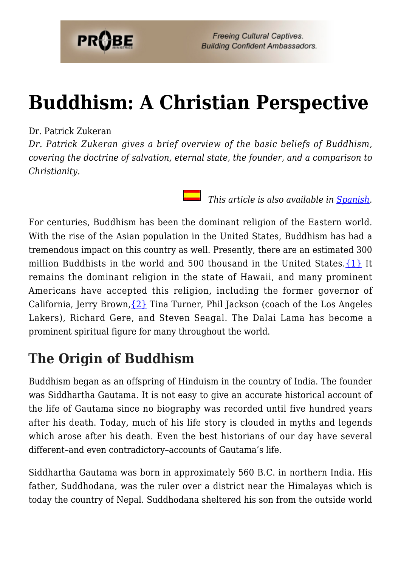

**Freeing Cultural Captives. Building Confident Ambassadors.** 

# **[Buddhism: A Christian Perspective](https://probe.org/buddhism/)**

#### Dr. Patrick Zukeran

*Dr. Patrick Zukeran gives a brief overview of the basic beliefs of Buddhism, covering the doctrine of salvation, eternal state, the founder, and a comparison to Christianity.*

 *This article is also available in [Spanish.](https://www.ministeriosprobe.org/docs/conv-musulman.html)*

For centuries, Buddhism has been the dominant religion of the Eastern world. With the rise of the Asian population in the United States, Buddhism has had a tremendous impact on this country as well. Presently, there are an estimated 300 million Buddhists in the world and 500 thousand in the United States. [{1}](#page--1-0) It remains the dominant religion in the state of Hawaii, and many prominent Americans have accepted this religion, including the former governor of California, Jerry Brown,  $\{2\}$  Tina Turner, Phil Jackson (coach of the Los Angeles Lakers), Richard Gere, and Steven Seagal. The Dalai Lama has become a prominent spiritual figure for many throughout the world.

### **The Origin of Buddhism**

Buddhism began as an offspring of Hinduism in the country of India. The founder was Siddhartha Gautama. It is not easy to give an accurate historical account of the life of Gautama since no biography was recorded until five hundred years after his death. Today, much of his life story is clouded in myths and legends which arose after his death. Even the best historians of our day have several different–and even contradictory–accounts of Gautama's life.

Siddhartha Gautama was born in approximately 560 B.C. in northern India. His father, Suddhodana, was the ruler over a district near the Himalayas which is today the country of Nepal. Suddhodana sheltered his son from the outside world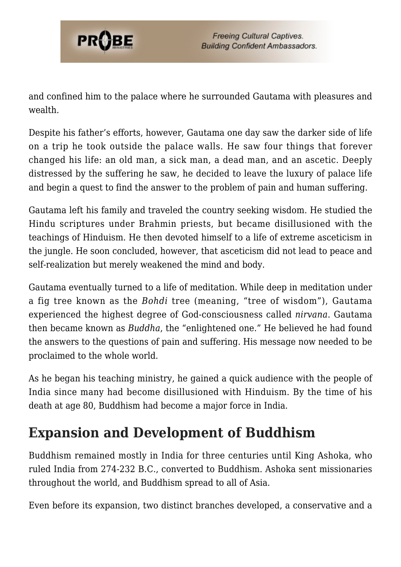

and confined him to the palace where he surrounded Gautama with pleasures and wealth.

Despite his father's efforts, however, Gautama one day saw the darker side of life on a trip he took outside the palace walls. He saw four things that forever changed his life: an old man, a sick man, a dead man, and an ascetic. Deeply distressed by the suffering he saw, he decided to leave the luxury of palace life and begin a quest to find the answer to the problem of pain and human suffering.

Gautama left his family and traveled the country seeking wisdom. He studied the Hindu scriptures under Brahmin priests, but became disillusioned with the teachings of Hinduism. He then devoted himself to a life of extreme asceticism in the jungle. He soon concluded, however, that asceticism did not lead to peace and self-realization but merely weakened the mind and body.

Gautama eventually turned to a life of meditation. While deep in meditation under a fig tree known as the *Bohdi* tree (meaning, "tree of wisdom"), Gautama experienced the highest degree of God-consciousness called *nirvana*. Gautama then became known as *Buddha*, the "enlightened one." He believed he had found the answers to the questions of pain and suffering. His message now needed to be proclaimed to the whole world.

As he began his teaching ministry, he gained a quick audience with the people of India since many had become disillusioned with Hinduism. By the time of his death at age 80, Buddhism had become a major force in India.

# **Expansion and Development of Buddhism**

Buddhism remained mostly in India for three centuries until King Ashoka, who ruled India from 274-232 B.C., converted to Buddhism. Ashoka sent missionaries throughout the world, and Buddhism spread to all of Asia.

Even before its expansion, two distinct branches developed, a conservative and a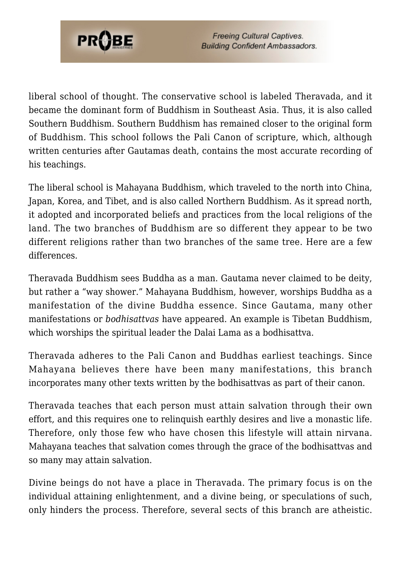

**Freeing Cultural Captives. Building Confident Ambassadors.** 

liberal school of thought. The conservative school is labeled Theravada, and it became the dominant form of Buddhism in Southeast Asia. Thus, it is also called Southern Buddhism. Southern Buddhism has remained closer to the original form of Buddhism. This school follows the Pali Canon of scripture, which, although written centuries after Gautamas death, contains the most accurate recording of his teachings.

The liberal school is Mahayana Buddhism, which traveled to the north into China, Japan, Korea, and Tibet, and is also called Northern Buddhism. As it spread north, it adopted and incorporated beliefs and practices from the local religions of the land. The two branches of Buddhism are so different they appear to be two different religions rather than two branches of the same tree. Here are a few differences.

Theravada Buddhism sees Buddha as a man. Gautama never claimed to be deity, but rather a "way shower." Mahayana Buddhism, however, worships Buddha as a manifestation of the divine Buddha essence. Since Gautama, many other manifestations or *bodhisattvas* have appeared. An example is Tibetan Buddhism, which worships the spiritual leader the Dalai Lama as a bodhisattva.

Theravada adheres to the Pali Canon and Buddhas earliest teachings. Since Mahayana believes there have been many manifestations, this branch incorporates many other texts written by the bodhisattvas as part of their canon.

Theravada teaches that each person must attain salvation through their own effort, and this requires one to relinquish earthly desires and live a monastic life. Therefore, only those few who have chosen this lifestyle will attain nirvana. Mahayana teaches that salvation comes through the grace of the bodhisattvas and so many may attain salvation.

Divine beings do not have a place in Theravada. The primary focus is on the individual attaining enlightenment, and a divine being, or speculations of such, only hinders the process. Therefore, several sects of this branch are atheistic.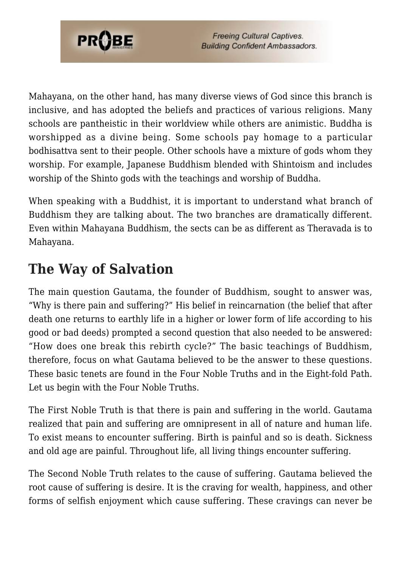

Mahayana, on the other hand, has many diverse views of God since this branch is inclusive, and has adopted the beliefs and practices of various religions. Many schools are pantheistic in their worldview while others are animistic. Buddha is worshipped as a divine being. Some schools pay homage to a particular bodhisattva sent to their people. Other schools have a mixture of gods whom they worship. For example, Japanese Buddhism blended with Shintoism and includes worship of the Shinto gods with the teachings and worship of Buddha.

When speaking with a Buddhist, it is important to understand what branch of Buddhism they are talking about. The two branches are dramatically different. Even within Mahayana Buddhism, the sects can be as different as Theravada is to Mahayana.

# **The Way of Salvation**

The main question Gautama, the founder of Buddhism, sought to answer was, "Why is there pain and suffering?" His belief in reincarnation (the belief that after death one returns to earthly life in a higher or lower form of life according to his good or bad deeds) prompted a second question that also needed to be answered: "How does one break this rebirth cycle?" The basic teachings of Buddhism, therefore, focus on what Gautama believed to be the answer to these questions. These basic tenets are found in the Four Noble Truths and in the Eight-fold Path. Let us begin with the Four Noble Truths.

The First Noble Truth is that there is pain and suffering in the world. Gautama realized that pain and suffering are omnipresent in all of nature and human life. To exist means to encounter suffering. Birth is painful and so is death. Sickness and old age are painful. Throughout life, all living things encounter suffering.

The Second Noble Truth relates to the cause of suffering. Gautama believed the root cause of suffering is desire. It is the craving for wealth, happiness, and other forms of selfish enjoyment which cause suffering. These cravings can never be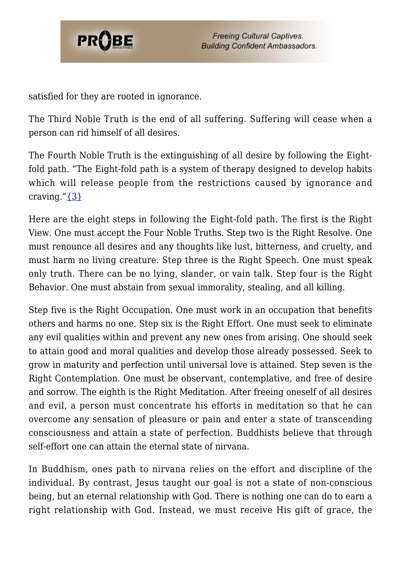

satisfied for they are rooted in ignorance.

The Third Noble Truth is the end of all suffering. Suffering will cease when a person can rid himself of all desires.

The Fourth Noble Truth is the extinguishing of all desire by following the Eightfold path. "The Eight-fold path is a system of therapy designed to develop habits which will release people from the restrictions caused by ignorance and craving." $\{3\}$ 

Here are the eight steps in following the Eight-fold path. The first is the Right View. One must accept the Four Noble Truths. Step two is the Right Resolve. One must renounce all desires and any thoughts like lust, bitterness, and cruelty, and must harm no living creature. Step three is the Right Speech. One must speak only truth. There can be no lying, slander, or vain talk. Step four is the Right Behavior. One must abstain from sexual immorality, stealing, and all killing.

Step five is the Right Occupation. One must work in an occupation that benefits others and harms no one. Step six is the Right Effort. One must seek to eliminate any evil qualities within and prevent any new ones from arising. One should seek to attain good and moral qualities and develop those already possessed. Seek to grow in maturity and perfection until universal love is attained. Step seven is the Right Contemplation. One must be observant, contemplative, and free of desire and sorrow. The eighth is the Right Meditation. After freeing oneself of all desires and evil, a person must concentrate his efforts in meditation so that he can overcome any sensation of pleasure or pain and enter a state of transcending consciousness and attain a state of perfection. Buddhists believe that through self-effort one can attain the eternal state of nirvana.

In Buddhism, ones path to nirvana relies on the effort and discipline of the individual. By contrast, Jesus taught our goal is not a state of non-conscious being, but an eternal relationship with God. There is nothing one can do to earn a right relationship with God. Instead, we must receive His gift of grace, the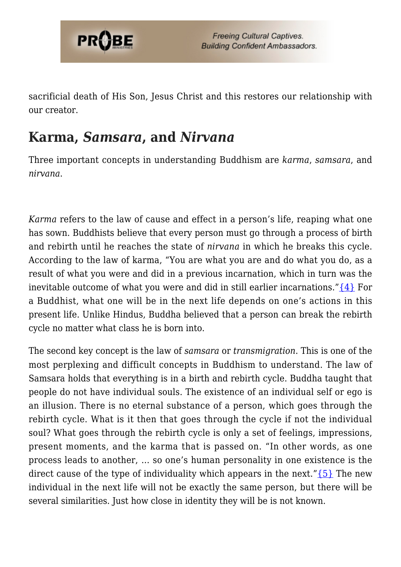

sacrificial death of His Son, Jesus Christ and this restores our relationship with our creator.

#### **Karma,** *Samsara***, and** *Nirvana*

Three important concepts in understanding Buddhism are *karma*, *samsara*, and *nirvana*.

*Karma* refers to the law of cause and effect in a person's life, reaping what one has sown. Buddhists believe that every person must go through a process of birth and rebirth until he reaches the state of *nirvana* in which he breaks this cycle. According to the law of karma, "You are what you are and do what you do, as a result of what you were and did in a previous incarnation, which in turn was the inevitable outcome of what you were and did in still earlier incarnations." $\{4\}$  For a Buddhist, what one will be in the next life depends on one's actions in this present life. Unlike Hindus, Buddha believed that a person can break the rebirth cycle no matter what class he is born into.

The second key concept is the law of *samsara* or *transmigration*. This is one of the most perplexing and difficult concepts in Buddhism to understand. The law of Samsara holds that everything is in a birth and rebirth cycle. Buddha taught that people do not have individual souls. The existence of an individual self or ego is an illusion. There is no eternal substance of a person, which goes through the rebirth cycle. What is it then that goes through the cycle if not the individual soul? What goes through the rebirth cycle is only a set of feelings, impressions, present moments, and the karma that is passed on. "In other words, as one process leads to another, … so one's human personality in one existence is the direct cause of the type of individuality which appears in the next." $\{5\}$  The new individual in the next life will not be exactly the same person, but there will be several similarities. Just how close in identity they will be is not known.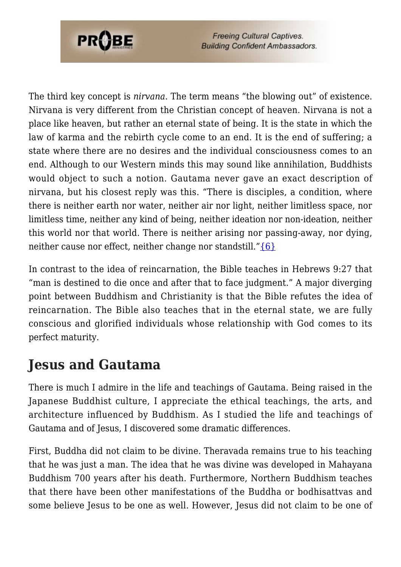

**Freeing Cultural Captives. Building Confident Ambassadors.** 

The third key concept is *nirvana*. The term means "the blowing out" of existence. Nirvana is very different from the Christian concept of heaven. Nirvana is not a place like heaven, but rather an eternal state of being. It is the state in which the law of karma and the rebirth cycle come to an end. It is the end of suffering; a state where there are no desires and the individual consciousness comes to an end. Although to our Western minds this may sound like annihilation, Buddhists would object to such a notion. Gautama never gave an exact description of nirvana, but his closest reply was this. "There is disciples, a condition, where there is neither earth nor water, neither air nor light, neither limitless space, nor limitless time, neither any kind of being, neither ideation nor non-ideation, neither this world nor that world. There is neither arising nor passing-away, nor dying, neither cause nor effect, neither change nor standstill.["{6}](#page--1-0)

In contrast to the idea of reincarnation, the Bible teaches in Hebrews 9:27 that "man is destined to die once and after that to face judgment." A major diverging point between Buddhism and Christianity is that the Bible refutes the idea of reincarnation. The Bible also teaches that in the eternal state, we are fully conscious and glorified individuals whose relationship with God comes to its perfect maturity.

# **Jesus and Gautama**

There is much I admire in the life and teachings of Gautama. Being raised in the Japanese Buddhist culture, I appreciate the ethical teachings, the arts, and architecture influenced by Buddhism. As I studied the life and teachings of Gautama and of Jesus, I discovered some dramatic differences.

First, Buddha did not claim to be divine. Theravada remains true to his teaching that he was just a man. The idea that he was divine was developed in Mahayana Buddhism 700 years after his death. Furthermore, Northern Buddhism teaches that there have been other manifestations of the Buddha or bodhisattvas and some believe Jesus to be one as well. However, Jesus did not claim to be one of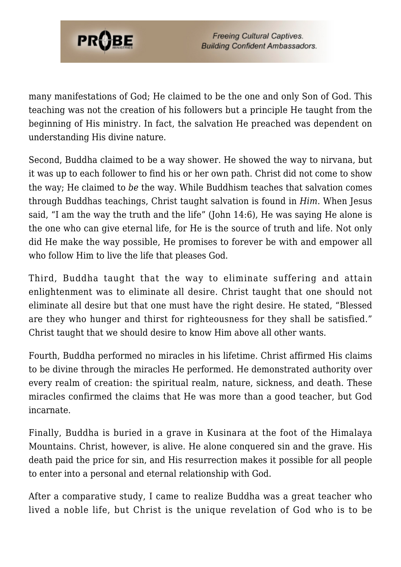

many manifestations of God; He claimed to be the one and only Son of God. This teaching was not the creation of his followers but a principle He taught from the beginning of His ministry. In fact, the salvation He preached was dependent on understanding His divine nature.

Second, Buddha claimed to be a way shower. He showed the way to nirvana, but it was up to each follower to find his or her own path. Christ did not come to show the way; He claimed to *be* the way. While Buddhism teaches that salvation comes through Buddhas teachings, Christ taught salvation is found in *Him*. When Jesus said, "I am the way the truth and the life" (John 14:6), He was saying He alone is the one who can give eternal life, for He is the source of truth and life. Not only did He make the way possible, He promises to forever be with and empower all who follow Him to live the life that pleases God.

Third, Buddha taught that the way to eliminate suffering and attain enlightenment was to eliminate all desire. Christ taught that one should not eliminate all desire but that one must have the right desire. He stated, "Blessed are they who hunger and thirst for righteousness for they shall be satisfied." Christ taught that we should desire to know Him above all other wants.

Fourth, Buddha performed no miracles in his lifetime. Christ affirmed His claims to be divine through the miracles He performed. He demonstrated authority over every realm of creation: the spiritual realm, nature, sickness, and death. These miracles confirmed the claims that He was more than a good teacher, but God incarnate.

Finally, Buddha is buried in a grave in Kusinara at the foot of the Himalaya Mountains. Christ, however, is alive. He alone conquered sin and the grave. His death paid the price for sin, and His resurrection makes it possible for all people to enter into a personal and eternal relationship with God.

After a comparative study, I came to realize Buddha was a great teacher who lived a noble life, but Christ is the unique revelation of God who is to be